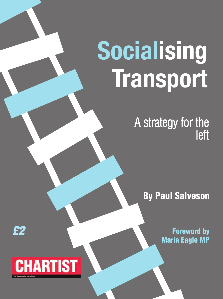# **Socialising Transport**

A strategy for the left

**By Paul Salveson**

**Foreword by Maria Eagle MP** 

# **CHARTIST**

*£2*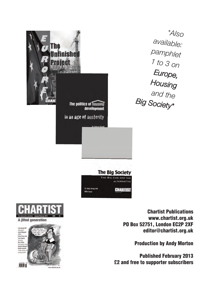| The                                    | A/s <sub>O</sub>                                                                       |
|----------------------------------------|----------------------------------------------------------------------------------------|
| inished                                | available:                                                                             |
| <b>Project</b>                         | pamphlet                                                                               |
| By Frank Lee                           | 1 to 3 on                                                                              |
| The politics of housing                | Europe,                                                                                |
| development                            | Housing                                                                                |
| in an age of austerity                 | and the<br>Big Society*                                                                |
| By Andy Gropy and<br><b>Main Davis</b> | <b>The Big Society</b><br>THE BIG CON AND THE<br><b>ALTERNATIVE</b><br><b>CHARTIST</b> |

**Chartist Publications www.chartist.org.uk PO Box 52751, London EC2P 2XF editor@chartist.org.uk**

**Production by Andy Morton**

**Published February 2013 £2 and free to supporter subscribers**



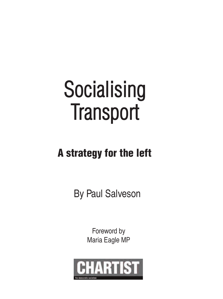# **Socialising Transport**

# **A strategy for the left**

By Paul Salveson

Foreword by Maria Eagle MP

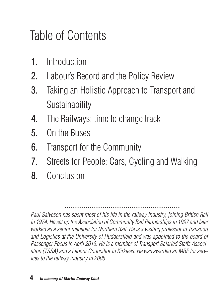# Table of Contents

- **Introduction** 1.
- Labour's Record and the Policy Review 2.
- Taking an Holistic Approach to Transport and Sustainability 3.
- The Railways: time to change track 4.
- On the Buses 5.
- Transport for the Community 6.
- Streets for People: Cars, Cycling and Walking 7.
- Conclusion 8.

*Paul Salveson has spent most of his life in the railway industry, joining British Rail in 1974. He set up the Association of Community Rail Partnerships in 1997 and later worked as a senior manager for Northern Rail. He is a visiting professor in Transport and Logistics at the University of Huddersfield and was appointed to the board of Passenger Focus in April 2013. He is a member of Transport Salaried Staffs Association (TSSA) and a Labour Councillor in Kirklees. He was awarded an MBE for services to the railway industry in 2008.*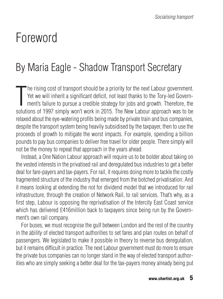# Foreword

# By Maria Eagle - Shadow Transport Secretary

T he rising cost of transport should be a priority for the next Labour government. Yet we will inherit a significant deficit, not least thanks to the Tory-led Government's failure to pursue a credible strategy for jobs and growth. Therefore, the solutions of 1997 simply won't work in 2015. The New Labour approach was to be relaxed about the eye-watering profits being made by private train and bus companies, despite the transport system being heavily subsidised by the taxpayer, then to use the proceeds of growth to mitigate the worst impacts. For example, spending a billion pounds to pay bus companies to deliver free travel for older people. There simply will not be the money to repeat that approach in the years ahead.

Instead, a One Nation Labour approach will require us to be bolder about taking on the vested interests in the privatised rail and deregulated bus industries to get a better deal for fare-payers and tax-payers. For rail, it requires doing more to tackle the costly fragmented structure of the industry that emerged from the botched privatisation. And it means looking at extending the not for dividend model that we introduced for rail infrastructure, through the creation of Network Rail, to rail services. That's why, as a first step, Labour is opposing the reprivatisation of the Intercity East Coast service which has delivered £416million back to taxpayers since being run by the Government's own rail company.

For buses, we must recognise the gulf between London and the rest of the country in the ability of elected transport authorities to set fares and plan routes on behalf of passengers. We legislated to make it possible in theory to reverse bus deregulation, but it remains difficult in practice. The next Labour government must do more to ensure the private bus companies can no longer stand in the way of elected transport authorities who are simply seeking a better deal for the tax-payers money already being put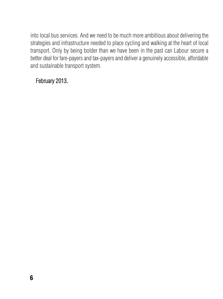into local bus services. And we need to be much more ambitious about delivering the strategies and infrastructure needed to place cycling and walking at the heart of local transport. Only by being bolder than we have been in the past can Labour secure a better deal for fare-payers and tax-payers and deliver a genuinely accessible, affordable and sustainable transport system.

#### February 2013.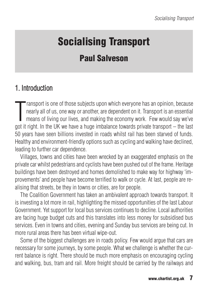# **Socialising Transport**

# **Paul Salveson**

## 1. Introduction

T ransport is one of those subjects upon which everyone has an opinion, because nearly all of us, one way or another, are dependent on it. Transport is an essential means of living our lives, and making the economy work. Few would say we've got it right. In the UK we have a huge imbalance towards private transport – the last 50 years have seen billions invested in roads whilst rail has been starved of funds. Healthy and environment-friendly options such as cycling and walking have declined, leading to further car dependence.

Villages, towns and cities have been wrecked by an exaggerated emphasis on the private car whilst pedestrians and cyclists have been pushed out of the frame. Heritage buildings have been destroyed and homes demolished to make way for highway 'improvements' and people have become terrified to walk or cycle. At last, people are realising that streets, be they in towns or cities, are for people.

The Coalition Government has taken an ambivalent approach towards transport. It is investing a lot more in rail, highlighting the missed opportunities of the last Labour Government. Yet support for local bus services continues to decline. Local authorities are facing huge budget cuts and this translates into less money for subsidised bus services. Even in towns and cities, evening and Sunday bus services are being cut. In more rural areas there has been virtual wipe-out.

Some of the biggest challenges are in roads policy. Few would argue that cars are necessary for some journeys, by some people. What we challenge is whether the current balance is right. There should be much more emphasis on encouraging cycling and walking, bus, tram and rail. More freight should be carried by the railways and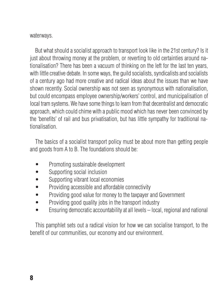waterways.

But what should a socialist approach to transport look like in the 21st century? Is it just about throwing money at the problem, or reverting to old certainties around nationalisation? There has been a vacuum of thinking on the left for the last ten years, with little creative debate. In some ways, the guild socialists, syndicalists and socialists of a century ago had more creative and radical ideas about the issues than we have shown recently. Social ownership was not seen as synonymous with nationalisation, but could encompass employee ownership/workers' control, and municipalisation of local tram systems. We have some things to learn from that decentralist and democratic approach, which could chime with a public mood which has never been convinced by the 'benefits' of rail and bus privatisation, but has little sympathy for traditional nationalisation.

The basics of a socialist transport policy must be about more than getting people and goods from A to B. The foundations should be:

- Promoting sustainable development
- Supporting social inclusion
- Supporting vibrant local economies
- Providing accessible and affordable connectivity
- Providing good value for money to the taxpayer and Government
- Providing good quality jobs in the transport industry
- Ensuring democratic accountability at all levels local, regional and national

This pamphlet sets out a radical vision for how we can socialise transport, to the benefit of our communities, our economy and our environment.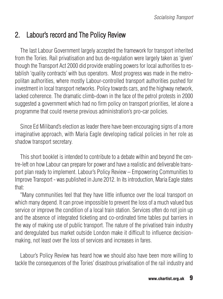## 2. Labour's record and The Policy Review

The last Labour Government largely accepted the framework for transport inherited from the Tories. Rail privatisation and bus de-regulation were largely taken as 'given' though the Transport Act 2000 did provide enabling powers for local authorities to establish 'quality contracts' with bus operators. Most progress was made in the metropolitan authorities, where mostly Labour-controlled transport authorities pushed for investment in local transport networks. Policy towards cars, and the highway network, lacked coherence. The dramatic climb-down in the face of the petrol protests in 2000 suggested a government which had no firm policy on transport priorities, let alone a programme that could reverse previous administration's pro-car policies.

Since Ed Miliband's election as leader there have been encouraging signs of a more imaginative approach, with Maria Eagle developing radical policies in her role as shadow transport secretary.

This short booklet is intended to contribute to a debate within and beyond the centre-left on how Labour can prepare for power and have a realistic and deliverable transport plan ready to implement. Labour's Policy Review – Empowering Communities to Improve Transport - was published in June 2012. In its introduction, Maria Eagle states that:

"Many communities feel that they have little influence over the local transport on which many depend. It can prove impossible to prevent the loss of a much valued bus service or improve the condition of a local train station. Services often do not join up and the absence of integrated ticketing and co-ordinated time tables put barriers in the way of making use of public transport. The nature of the privatised train industry and deregulated bus market outside London make it difficult to influence decisionmaking, not least over the loss of services and increases in fares.

Labour's Policy Review has heard how we should also have been more willing to tackle the consequences of the Tories' disastrous privatisation of the rail industry and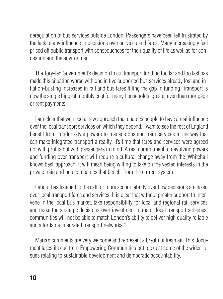deregulation of bus services outside London. Passengers have been left frustrated by the lack of any influence in decisions over services and fares. Many increasingly feel priced off public transport with consequences for their quality of life as well as for congestion and the environment.

The Tory-led Government's decision to cut transport funding too far and too fast has made this situation worse with one in five supported bus services already lost and inflation-busting increases in rail and bus fares filling the gap in funding. Transport is now the single biggest monthly cost for many households, greater even than mortgage or rent payments.

I am clear that we need a new approach that enables people to have a real influence over the local transport services on which they depend. I want to see the rest of England benefit from London-style powers to manage bus and train services in the way that can make integrated transport a reality. It's time that fares and services were agreed not with profits but with passengers in mind. A real commitment to devolving powers and funding over transport will require a cultural change away from the 'Whitehall knows best' approach. It will mean being willing to take on the vested interests in the private train and bus companies that benefit from the current system.

Labour has listened to the call for more accountability over how decisions are taken over local transport fares and services. It is clear that without greater support to intervene in the local bus market, take responsibility for local and regional rail services and make the strategic decisions over investment in major local transport schemes, communities will not be able to match London's ability to deliver high quality reliable and affordable integrated transport networks."

Maria's comments are very welcome and represent a breath of fresh air. This document takes its cue from Empowering Communities but looks at some of the wider issues relating to sustainable development and democratic accountability.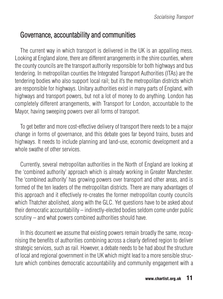#### Governance, accountability and communities

The current way in which transport is delivered in the UK is an appalling mess. Looking at England alone, there are different arrangements in the shire counties, where the county councils are the transport authority responsible for both highways and bus tendering. In metropolitan counties the Integrated Transport Authorities (ITAs) are the tendering bodies who also support local rail; but it's the metropolitan districts which are responsible for highways. Unitary authorities exist in many parts of England, with highways and transport powers, but not a lot of money to do anything. London has completely different arrangements, with Transport for London, accountable to the Mayor, having sweeping powers over all forms of transport.

To get better and more cost-effective delivery of transport there needs to be a major change in forms of governance, and this debate goes far beyond trains, buses and highways. It needs to include planning and land-use, economic development and a whole swathe of other services.

Currently, several metropolitan authorities in the North of England are looking at the 'combined authority' approach which is already working in Greater Manchester. The 'combined authority' has growing powers over transport and other areas, and is formed of the ten leaders of the metropolitan districts. There are many advantages of this approach and it effectively re-creates the former metropolitan county councils which Thatcher abolished, along with the GLC. Yet questions have to be asked about their democratic accountability – indirectly-elected bodies seldom come under public scrutiny – and what powers combined authorities should have.

In this document we assume that existing powers remain broadly the same, recognising the benefits of authorities combining across a clearly defined region to deliver strategic services, such as rail. However, a debate needs to be had about the structure of local and regional government in the UK which might lead to a more sensible structure which combines democratic accountability and community engagement with a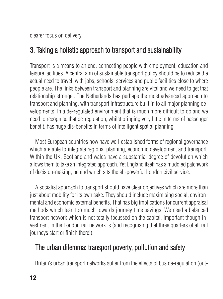clearer focus on delivery.

# 3. Taking a holistic approach to transport and sustainability

Transport is a means to an end, connecting people with employment, education and leisure facilities. A central aim of sustainable transport policy should be to reduce the actual need to travel, with jobs, schools, services and public facilities close to where people are. The links between transport and planning are vital and we need to get that relationship stronger. The Netherlands has perhaps the most advanced approach to transport and planning, with transport infrastructure built in to all major planning developments. In a de-regulated environment that is much more difficult to do and we need to recognise that de-regulation, whilst bringing very little in terms of passenger benefit, has huge dis-benefits in terms of intelligent spatial planning.

Most European countries now have well-established forms of regional governance which are able to integrate regional planning, economic development and transport. Within the UK, Scotland and wales have a substantial degree of devolution which allows them to take an integrated approach. Yet England itself has a muddled patchwork of decision-making, behind which sits the all-powerful London civil service.

A socialist approach to transport should have clear objectives which are more than just about mobility for its own sake. They should include maximising social, environmental and economic external benefits. That has big implications for current appraisal methods which lean too much towards journey time savings. We need a balanced transport network which is not totally focussed on the capital, important though investment in the London rail network is (and recognising that three quarters of all rail journeys start or finish there!).

# The urban dilemma: transport poverty, pollution and safety

Britain's urban transport networks suffer from the effects of bus de-regulation (out-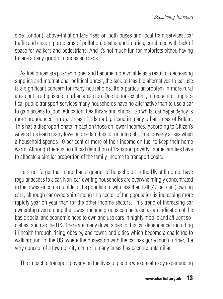side London), above-inflation fare rises on both buses and local train services, car traffic and ensuing problems of pollution, deaths and injuries, combined with lack of space for walkers and pedestrians. And it's not much fun for motorists either, having to face a daily grind of congested roads.

As fuel prices are pushed higher and become more volatile as a result of decreasing supplies and international political unrest, the lack of feasible alternatives to car use is a significant concern for many households. It's a particular problem in more rural areas but is a big issue in urban areas too. Due to non-existent, infrequent or impractical public transport services many households have no alternative than to use a car to gain access to jobs, education, healthcare and shops. So whilst car dependency is more pronounced in rural areas it's also a big issue in many urban areas of Britain. This has a disproportionate impact on those on lower incomes. According to Citizen's Advice this leads many low-income families to run into debt. Fuel poverty arises when a household spends 10 per cent or more of their income on fuel to keep their home warm. Although there is no official definition of 'transport poverty', some families have to allocate a similar proportion of the family income to transport costs.

Let's not forget that more than a quarter of households in the UK still do not have regular access to a car. Non-car-owning households are overwhelmingly concentrated in the lowest-income quintile of the population, with less than half (47 per cent) owning cars, although car ownership among this sector of the population is increasing more rapidly year on year than for the other income sectors. This trend of increasing car ownership even among the lowest income groups can be taken as an indication of the basic social and economic need to own and use cars in highly mobile and affluent societies, such as the UK. There are many down sides to this car dependence, including ill health through rising obesity, and towns and cities which become a challenge to walk around. In the US, where the obsession with the car has gone much further, the very concept of a town or city centre in many areas has become unfamiliar.

The impact of transport poverty on the lives of people who are already experiencing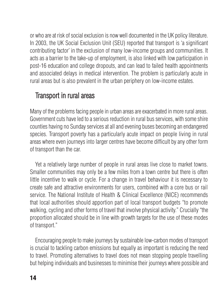or who are at risk of social exclusion is now well documented in the UK policy literature. In 2003, the UK Social Exclusion Unit (SEU) reported that transport is 'a significant contributing factor' in the exclusion of many low-income groups and communities. It acts as a barrier to the take-up of employment, is also linked with low participation in post-16 education and college dropouts, and can lead to failed health appointments and associated delays in medical intervention. The problem is particularly acute in rural areas but is also prevalent in the urban periphery on low-income estates.

# Transport in rural areas

Many of the problems facing people in urban areas are exacerbated in more rural areas. Government cuts have led to a serious reduction in rural bus services, with some shire counties having no Sunday services at all and evening buses becoming an endangered species. Transport poverty has a particularly acute impact on people living in rural areas where even journeys into larger centres have become difficult by any other form of transport than the car.

Yet a relatively large number of people in rural areas live close to market towns. Smaller communities may only be a few miles from a town centre but there is often little incentive to walk or cycle. For a change in travel behaviour it is necessary to create safe and attractive environments for users, combined with a core bus or rail service. The National Institute of Health & Clinical Excellence (NICE) recommends that local authorities should apportion part of local transport budgets "to promote walking, cycling and other forms of travel that involve physical activity." Crucially "the proportion allocated should be in line with growth targets for the use of these modes of transport."

Encouraging people to make journeys by sustainable low-carbon modes of transport is crucial to tackling carbon emissions but equally as important is reducing the need to travel. Promoting alternatives to travel does not mean stopping people travelling but helping individuals and businesses to minimise their journeys where possible and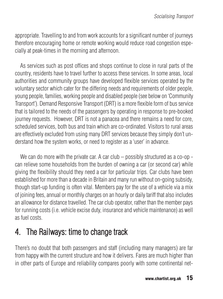appropriate. Travelling to and from work accounts for a significant number of journeys therefore encouraging home or remote working would reduce road congestion especially at peak-times in the morning and afternoon.

As services such as post offices and shops continue to close in rural parts of the country, residents have to travel further to access these services. In some areas, local authorities and community groups have developed flexible services operated by the voluntary sector which cater for the differing needs and requirements of older people, young people, families, working people and disabled people (see below on 'Community Transport'). Demand Responsive Transport (DRT) is a more flexible form of bus service that is tailored to the needs of the passengers by operating in response to pre-booked journey requests. However, DRT is not a panacea and there remains a need for core, scheduled services, both bus and train which are co-ordinated. Visitors to rural areas are effectively excluded from using many DRT services because they simply don't understand how the system works, or need to register as a 'user' in advance.

We can do more with the private car. A car club – possibly structured as a co-op can relieve some households from the burden of owning a car (or second car) while giving the flexibility should they need a car for particular trips. Car clubs have been established for more than a decade in Britain and many run without on-going subsidy, though start-up funding is often vital. Members pay for the use of a vehicle via a mix of joining fees, annual or monthly charges on an hourly or daily tariff that also includes an allowance for distance travelled. The car club operator, rather than the member pays for running costs (i.e. vehicle excise duty, insurance and vehicle maintenance) as well as fuel costs.

# 4. The Railways: time to change track

There's no doubt that both passengers and staff (including many managers) are far from happy with the current structure and how it delivers. Fares are much higher than in other parts of Europe and reliability compares poorly with some continental net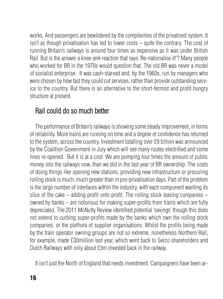works. And passengers are bewildered by the complexities of the privatised system. It isn't as though privatisation has led to lower costs – quite the contrary. The cost of running Britain's railways is around four times as expensive as it was under British Rail. But is the answer a knee-jerk reaction that says 'Re-nationalise it!'? Many people who worked for BR in the 1970s would question that. The old BR was never a model of socialist enterprise. It was cash-starved and, by the 1960s, run by managers who were chosen by how fast they could cut services, rather than provide outstanding service to the country. But there is an alternative to the short-termist and profit hungry structure at present.

# Rail could do so much better

The performance of Britain's railways is showing some steady improvement, in terms of reliability. More trains are running on time and a degree of confidence has returned to the system, across the country. Investment totalling over £9 billion was announced by the Coalition Government in July which will see many routes electrified and some lines re-opened. But it is at a cost. We are pumping four times the amount of public money into the railways now, than we did in the last year of BR ownership. The costs of doing things like opening new stations, providing new infrastructure or procuring rolling stock is much, much greater than in pre-privatisation days. Part of the problem is the large number of interfaces within the industry, with each component wanting its slice of the cake  $-$  adding profit onto profit. The rolling stock leasing companies  $$ owned by banks – are notorious for making super-profits from trains which are fully depreciated. The 2011 McNulty Review identified potential 'savings' though this does not extend to curbing super-profits made by the banks which own the rolling stock companies, or the plethora of supplier organisations. Whilst the profits being made by the train operator owning groups are not so extreme, nonetheless Northern Rail, for example, made £30million last year, which went back to Serco shareholders and Dutch Railways with only about £3m invested back in the railway.

It isn't just the North of England that needs investment. Campaigners have been ar-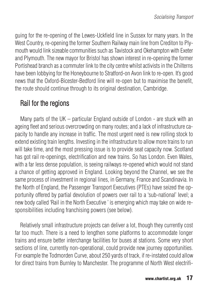guing for the re-opening of the Lewes-Uckfield line in Sussex for many years. In the West Country, re-opening the former Southern Railway main line from Crediton to Plymouth would link sizeable communities such as Tavistock and Okehampton with Exeter and Plymouth. The new mayor for Bristol has shown interest in re-opening the former Portishead branch as a commuter link to the city centre whilst activists in the Chilterns have been lobbying for the Honeybourne to Stratford-on Avon link to re-open. It's good news that the Oxford-Bicester-Bedford line will re-open but to maximise the benefit, the route should continue through to its original destination, Cambridge.

#### Rail for the regions

Many parts of the UK – particular England outside of London - are stuck with an ageing fleet and serious overcrowding on many routes; and a lack of infrastructure capacity to handle any increase in traffic. The most urgent need is new rolling stock to extend existing train lengths. Investing in the infrastructure to allow more trains to run will take time, and the most pressing issue is to provide seat capacity now. Scotland has got rail re-openings, electrification and new trains. So has London. Even Wales, with a far less dense population, is seeing railways re-opened which would not stand a chance of getting approved in England. Looking beyond the Channel, we see the same process of investment in regional lines, in Germany, France and Scandinavia. In the North of England, the Passenger Transport Executives (PTEs) have seized the opportunity offered by partial devolution of powers over rail to a 'sub-national' level; a new body called 'Rail in the North Executive ' is emerging which may take on wide responsibilities including franchising powers (see below).

Relatively small infrastructure projects can deliver a lot, though they currently cost far too much. There is a need to lengthen some platforms to accommodate longer trains and ensure better interchange facilities for buses at stations. Some very short sections of line, currently non-operational, could provide new journey opportunities. For example the Todmorden Curve, about 250 yards of track, if re-instated could allow for direct trains from Burnley to Manchester. The programme of North West electrifi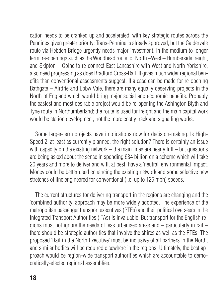cation needs to be cranked up and accelerated, with key strategic routes across the Pennines given greater priority: Trans-Pennine is already approved, but the Caldervale route via Hebden Bridge urgently needs major investment. In the medium to longer term, re-openings such as the Woodhead route for North –West – Humberside freight, and Skipton – Colne to re-connect East Lancashire with West and North Yorkshire, also need progressing as does Bradford Cross-Rail. It gives much wider regional benefits than conventional assessments suggest. If a case can be made for re-opening Bathgate – Airdrie and Ebbw Vale, there are many equally deserving projects in the North of England which would bring major social and economic benefits. Probably the easiest and most desirable project would be re-opening the Ashington Blyth and Tyne route in Northumberland; the route is used for freight and the main capital work would be station development, not the more costly track and signalling works.

Some larger-term projects have implications now for decision-making. Is High-Speed 2, at least as currently planned, the right solution? There is certainly an issue with capacity on the existing network  $-$  the main lines are nearly full  $-$  but questions are being asked about the sense in spending £34 billion on a scheme which will take 20 years and more to deliver and will, at best, have a 'neutral' environmental impact. Money could be better used enhancing the existing network and some selective new stretches of line engineered for conventional (i.e. up to 125 mph) speeds.

The current structures for delivering transport in the regions are changing and the 'combined authority' approach may be more widely adopted. The experience of the metropolitan passenger transport executives (PTEs) and their political overseers in the Integrated Transport Authorities (ITAs) is invaluable. But transport for the English regions must not ignore the needs of less urbanised areas and – particularly in rail – there should be strategic authorities that involve the shires as well as the PTEs. The proposed 'Rail in the North Executive' must be inclusive of all partners in the North, and similar bodies will be required elsewhere in the regions. Ultimately, the best approach would be region-wide transport authorities which are accountable to democratically-elected regional assemblies.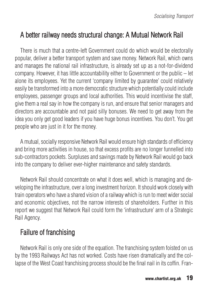# A better railway needs structural change: A Mutual Network Rail

There is much that a centre-left Government could do which would be electorally popular, deliver a better transport system and save money. Network Rail, which owns and manages the national rail infrastructure, is already set up as a not-for-dividend company. However, it has little accountability either to Government or the public – let alone its employees. Yet the current 'company limited by guarantee' could relatively easily be transformed into a more democratic structure which potentially could include employees, passenger groups and local authorities. This would incentivise the staff, give them a real say in how the company is run, and ensure that senior managers and directors are accountable and not paid silly bonuses. We need to get away from the idea you only get good leaders if you have huge bonus incentives. You don't. You get people who are just in it for the money.

A mutual, socially responsive Network Rail would ensure high standards of efficiency and bring more activities in house, so that excess profits are no longer funnelled into sub-contractors pockets. Surpluses and savings made by Network Rail would go back into the company to deliver ever-higher maintenance and safety standards.

Network Rail should concentrate on what it does well, which is managing and developing the infrastructure, over a long investment horizon. It should work closely with train operators who have a shared vision of a railway which is run to meet wider social and economic objectives, not the narrow interests of shareholders. Further in this report we suggest that Network Rail could form the 'infrastructure' arm of a Strategic Rail Agency.

# Failure of franchising

Network Rail is only one side of the equation. The franchising system foisted on us by the 1993 Railways Act has not worked. Costs have risen dramatically and the collapse of the West Coast franchising process should be the final nail in its coffin. Fran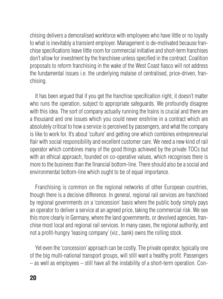chising delivers a demoralised workforce with employees who have little or no loyalty to what is inevitably a transient employer. Management is de-motivated because franchise specifications leave little room for commercial initiative and short-term franchises don't allow for investment by the franchisee unless specified in the contract. Coalition proposals to reform franchising in the wake of the West Coast fiasco will not address the fundamental issues i.e. the underlying malaise of centralised, price-driven, franchising.

It has been argued that if you get the franchise specification right, it doesn't matter who runs the operation, subject to appropriate safeguards. We profoundly disagree with this idea. The sort of company actually running the trains is crucial and there are a thousand and one issues which you could never enshrine in a contract which are absolutely critical to how a service is perceived by passengers, and what the company is like to work for. It's about 'culture' and getting one which combines entrepreneurial flair with social responsibility and excellent customer care. We need a new kind of rail operator which combines many of the good things achieved by the private TOCs but with an ethical approach, founded on co-operative values, which recognises there is more to the business than the financial bottom-line. There should also be a social and environmental bottom-line which ought to be of equal importance.

Franchising is common on the regional networks of other European countries, though there is a decisive difference. In general, regional rail services are franchised by regional governments on a 'concession' basis where the public body simply pays an operator to deliver a service at an agreed price, taking the commercial risk. We see this more clearly in Germany, where the land governments, or devolved agencies, franchise most local and regional rail services. In many cases, the regional authority, and not a profit-hungry 'leasing company' (viz., bank) owns the rolling stock.

Yet even the 'concession' approach can be costly. The private operator, typically one of the big multi-national transport groups, will still want a healthy profit. Passengers – as well as employees – still have all the instability of a short-term operation. Con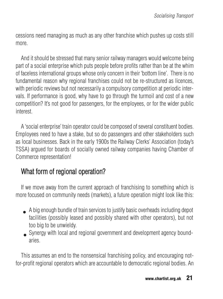cessions need managing as much as any other franchise which pushes up costs still more.

And it should be stressed that many senior railway managers would welcome being part of a social enterprise which puts people before profits rather than be at the whim of faceless international groups whose only concern in their 'bottom line'. There is no fundamental reason why regional franchises could not be re-structured as licences, with periodic reviews but not necessarily a compulsory competition at periodic intervals. If performance is good, why have to go through the turmoil and cost of a new competition? It's not good for passengers, for the employees, or for the wider public interest.

A 'social enterprise' train operator could be composed of several constituent bodies. Employees need to have a stake, but so do passengers and other stakeholders such as local businesses. Back in the early 1900s the Railway Clerks' Association (today's TSSA) argued for boards of socially owned railway companies having Chamber of Commerce representation!

# What form of regional operation?

If we move away from the current approach of franchising to something which is more focused on community needs (markets), a future operation might look like this:

- A big enough bundle of train services to justify basic overheads including depot •facilities (possibly leased and possibly shared with other operators), but not too big to be unwieldy.
- Synergy with local and regional government and development agency boundaries.

This assumes an end to the nonsensical franchising policy, and encouraging notfor-profit regional operators which are accountable to democratic regional bodies. An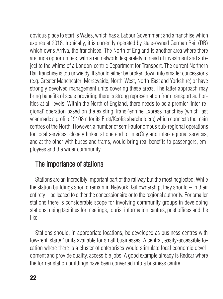obvious place to start is Wales, which has a Labour Government and a franchise which expires at 2018. Ironically, it is currently operated by state-owned German Rail (DB) which owns Arriva, the franchisee. The North of England is another area where there are huge opportunities, with a rail network desperately in need of investment and subject to the whims of a London-centric Department for Transport. The current Northern Rail franchise is too unwieldy. It should either be broken down into smaller concessions (e.g. Greater Manchester; Merseyside; North-West; North-East and Yorkshire) or have strongly devolved management units covering these areas. The latter approach may bring benefits of scale providing there is strong representation from transport authorities at all levels. Within the North of England, there needs to be a premier 'inter-regional' operation based on the existing TransPennine Express franchise (which last year made a profit of £108m for its First/Keolis shareholders) which connects the main centres of the North. However, a number of semi-autonomous sub-regional operations for local services, closely linked at one end to InterCity and inter-regional services, and at the other with buses and trams, would bring real benefits to passengers, employees and the wider community.

# The importance of stations

Stations are an incredibly important part of the railway but the most neglected. While the station buildings should remain in Network Rail ownership, they should – in their entirety – be leased to either the concessionaire or to the regional authority. For smaller stations there is considerable scope for involving community groups in developing stations, using facilities for meetings, tourist information centres, post offices and the like.

Stations should, in appropriate locations, be developed as business centres with low-rent 'starter' units available for small businesses. A central, easily-accessible location where there is a cluster of enterprises would stimulate local economic development and provide quality, accessible jobs. A good example already is Redcar where the former station buildings have been converted into a business centre.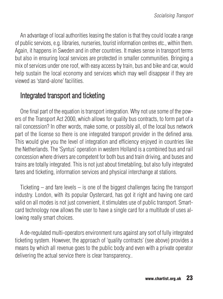An advantage of local authorities leasing the station is that they could locate a range of public services, e.g. libraries, nurseries, tourist information centres etc., within them. Again, it happens in Sweden and in other countries. It makes sense in transport terms but also in ensuring local services are protected in smaller communities. Bringing a mix of services under one roof, with easy access by train, bus and bike and car, would help sustain the local economy and services which may well disappear if they are viewed as 'stand-alone' facilities.

## Integrated transport and ticketing

One final part of the equation is transport integration. Why not use some of the powers of the Transport Act 2000, which allows for quality bus contracts, to form part of a rail concession? In other words, make some, or possibly all, of the local bus network part of the license so there is one integrated transport provider in the defined area. This would give you the level of integration and efficiency enjoyed in countries like the Netherlands. The 'Syntus' operation in western Holland is a combined bus and rail concession where drivers are competent for both bus and train driving, and buses and trains are totally integrated. This is not just about timetabling, but also fully integrated fares and ticketing, information services and physical interchange at stations.

Ticketing – and fare levels – is one of the biggest challenges facing the transport industry. London, with its popular Oystercard, has got it right and having one card valid on all modes is not just convenient, it stimulates use of public transport. Smartcard technology now allows the user to have a single card for a multitude of uses allowing really smart choices.

A de-regulated multi-operators environment runs against any sort of fully integrated ticketing system. However, the approach of 'quality contracts' (see above) provides a means by which all revenue goes to the public body and even with a private operator delivering the actual service there is clear transparency..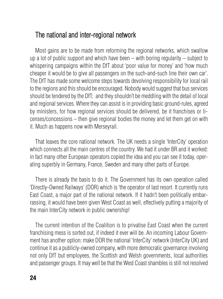#### The national and inter-regional network

Most gains are to be made from reforming the regional networks, which swallow up a lot of public support and which have been – with boring regularity – subject to whispering campaigns within the DfT about 'poor value for money' and 'how much cheaper it would be to give all passengers on the such-and-such line their own car'. The DfT has made some welcome steps towards devolving responsibility for local rail to the regions and this should be encouraged. Nobody would suggest that bus services should be tendered by the DfT; and they shouldn't be meddling with the detail of local and regional services. Where they can assist is in providing basic ground-rules, agreed by ministers, for how regional services should be delivered, be it franchises or licenses/concessions – then give regional bodies the money and let them get on with it. Much as happens now with Merseyrail.

That leaves the core national network. The UK needs a single 'InterCity' operation which connects all the main centres of the country. We had it under BR and it worked: in fact many other European operators copied the idea and you can see it today, operating superbly in Germany, France, Sweden and many other parts of Europe.

There is already the basis to do it. The Government has its own operation called 'Directly-Owned Railways' (DOR) which is 'the operator of last resort. It currently runs East Coast, a major part of the national network. If it hadn't been politically embarrassing, it would have been given West Coast as well, effectively putting a majority of the main InterCity network in public ownership!

The current intention of the Coalition is to privatise East Coast when the current franchising mess is sorted out, if indeed it ever will be. An incoming Labour Government has another option: make DOR the national 'InterCity' network (InterCity UK) and continue it as a publicly-owned company, with more democratic governance involving not only DfT but employees, the Scottish and Welsh governments, local authorities and passenger groups. It may well be that the West Coast shambles is still not resolved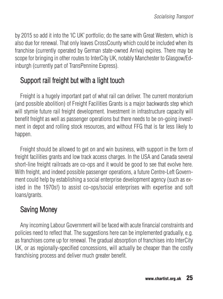by 2015 so add it into the 'IC UK' portfolio; do the same with Great Western, which is also due for renewal. That only leaves CrossCounty which could be included when its franchise (currently operated by German state-owned Arriva) expires. There may be scope for bringing in other routes to InterCity UK, notably Manchester to Glasgow/Edinburgh (currently part of TransPennine Express).

# Support rail freight but with a light touch

Freight is a hugely important part of what rail can deliver. The current moratorium (and possible abolition) of Freight Facilities Grants is a major backwards step which will stymie future rail freight development. Investment in infrastructure capacity will benefit freight as well as passenger operations but there needs to be on-going investment in depot and rolling stock resources, and without FFG that is far less likely to happen.

Freight should be allowed to get on and win business, with support in the form of freight facilities grants and low track access charges. In the USA and Canada several short-line freight railroads are co-ops and it would be good to see that evolve here. With freight, and indeed possible passenger operations, a future Centre-Left Government could help by establishing a social enterprise development agency (such as existed in the 1970s!) to assist co-ops/social enterprises with expertise and soft loans/grants.

# Saving Money

Any incoming Labour Government will be faced with acute financial constraints and policies need to reflect that. The suggestions here can be implemented gradually, e.g. as franchises come up for renewal. The gradual absorption of franchises into InterCity UK, or as regionally-specified concessions, will actually be cheaper than the costly franchising process and deliver much greater benefit.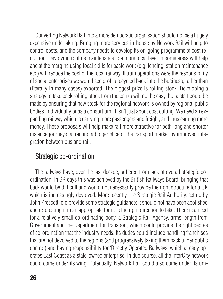Converting Network Rail into a more democratic organisation should not be a hugely expensive undertaking. Bringing more services in-house by Network Rail will help to control costs, and the company needs to develop its on-going programme of cost reduction. Devolving routine maintenance to a more local level in some areas will help and at the margins using local skills for basic work (e.g. fencing, station maintenance etc.) will reduce the cost of the local railway. If train operations were the responsibility of social enterprises we would see profits recycled back into the business, rather than (literally in many cases) exported. The biggest prize is rolling stock. Developing a strategy to take back rolling stock from the banks will not be easy, but a start could be made by ensuring that new stock for the regional network is owned by regional public bodies, individually or as a consortium. It isn't just about cost cutting. We need an expanding railway which is carrying more passengers and freight, and thus earning more money. These proposals will help make rail more attractive for both long and shorter distance journeys, attracting a bigger slice of the transport market by improved integration between bus and rail.

#### Strategic co-ordination

The railways have, over the last decade, suffered from lack of overall strategic coordination. In BR days this was achieved by the British Railways Board; bringing that back would be difficult and would not necessarily provide the right structure for a UK which is increasingly devolved. More recently, the Strategic Rail Authority, set up by John Prescott, did provide some strategic guidance; it should not have been abolished and re-creating it in an appropriate form, is the right direction to take. There is a need for a relatively small co-ordinating body, a Strategic Rail Agency, arms-length from Government and the Department for Transport, which could provide the right degree of co-ordination that the industry needs. Its duties could include handling franchises that are not devolved to the regions (and progressively taking them back under public control) and having responsibility for 'Directly Operated Railways' which already operates East Coast as a state-owned enterprise. In due course, all the InterCity network could come under its wing. Potentially, Network Rail could also come under its um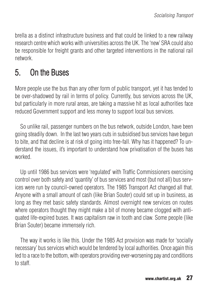brella as a distinct infrastructure business and that could be linked to a new railway research centre which works with universities across the UK. The 'new' SRA could also be responsible for freight grants and other targeted interventions in the national rail network.

# 5. On the Buses

More people use the bus than any other form of public transport, yet it has tended to be over-shadowed by rail in terms of policy. Currently, bus services across the UK, but particularly in more rural areas, are taking a massive hit as local authorities face reduced Government support and less money to support local bus services.

So unlike rail, passenger numbers on the bus network, outside London, have been going steadily down. In the last two years cuts in subsidised bus services have begun to bite, and that decline is at risk of going into free-fall. Why has it happened? To understand the issues, it's important to understand how privatisation of the buses has worked.

Up until 1986 bus services were 'regulated' with Traffic Commissioners exercising control over both safety and 'quantity' of bus services and most (but not all) bus services were run by council-owned operators. The 1985 Transport Act changed all that. Anyone with a small amount of cash (like Brian Souter) could set up in business, as long as they met basic safety standards. Almost overnight new services on routes where operators thought they might make a bit of money became clogged with antiquated life-expired buses. It was capitalism raw in tooth and claw. Some people (like Brian Souter) became immensely rich.

The way it works is like this. Under the 1985 Act provision was made for 'socially necessary' bus services which would be tendered by local authorities. Once again this led to a race to the bottom, with operators providing ever-worsening pay and conditions to staff.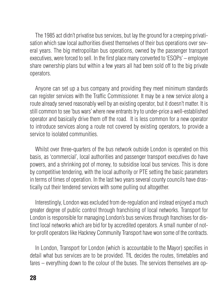The 1985 act didn't privatise bus services, but lay the ground for a creeping privatisation which saw local authorities divest themselves of their bus operations over several years. The big metropolitan bus operations, owned by the passenger transport executives, were forced to sell. In the first place many converted to 'ESOPs' – employee share ownership plans but within a few years all had been sold off to the big private operators.

Anyone can set up a bus company and providing they meet minimum standards can register services with the Traffic Commissioner. It may be a new service along a route already served reasonably well by an existing operator, but it doesn't matter. It is still common to see 'bus wars' where new entrants try to under-price a well-established operator and basically drive them off the road. It is less common for a new operator to introduce services along a route not covered by existing operators, to provide a service to isolated communities.

Whilst over three-quarters of the bus network outside London is operated on this basis, as 'commercial', local authorities and passenger transport executives do have powers, and a shrinking pot of money, to subsidise local bus services. This is done by competitive tendering, with the local authority or PTE setting the basic parameters in terms of times of operation. In the last two years several county councils have drastically cut their tendered services with some pulling out altogether.

Interestingly, London was excluded from de-regulation and instead enjoyed a much greater degree of public control through franchising of local networks. Transport for London is responsible for managing London's bus services through franchises for distinct local networks which are bid for by accredited operators. A small number of notfor-profit operators like Hackney Community Transport have won some of the contracts.

In London, Transport for London (which is accountable to the Mayor) specifies in detail what bus services are to be provided. TfL decides the routes, timetables and fares – everything down to the colour of the buses. The services themselves are op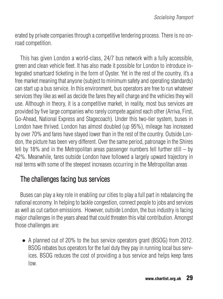erated by private companies through a competitive tendering process. There is no onroad competition.

This has given London a world-class, 24/7 bus network with a fully accessible, green and clean vehicle fleet. It has also made it possible for London to introduce integrated smartcard ticketing in the form of Oyster. Yet in the rest of the country, it's a free market meaning that anyone (subject to minimum safety and operating standards) can start up a bus service. In this environment, bus operators are free to run whatever services they like as well as decide the fares they will charge and the vehicles they will use. Although in theory, it is a competitive market, in reality, most bus services are provided by five large companies who rarely compete against each other (Arriva, First, Go-Ahead, National Express and Stagecoach). Under this two-tier system, buses in London have thrived. London has almost doubled (up 95%), mileage has increased by over 70% and fares have stayed lower than in the rest of the country. Outside London, the picture has been very different. Over the same period, patronage in the Shires fell by 18% and in the Metropolitan areas passenger numbers fell further still – by 42%. Meanwhile, fares outside London have followed a largely upward trajectory in real terms with some of the steepest increases occurring in the Metropolitan areas

## The challenges facing bus services

Buses can play a key role in enabling our cities to play a full part in rebalancing the national economy. In helping to tackle congestion, connect people to jobs and services as well as cut carbon emissions. However, outside London, the bus industry is facing major challenges in the years ahead that could threaten this vital contribution. Amongst those challenges are:

• A planned cut of 20% to the bus service operators grant (BSOG) from 2012. BSOG rebates bus operators for the fuel duty they pay in running local bus services. BSOG reduces the cost of providing a bus service and helps keep fares low.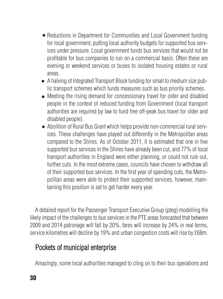- Reductions in Department for Communities and Local Government funding for local government, putting local authority budgets for supported bus services under pressure. Local government funds bus services that would not be profitable for bus companies to run on a commercial basis. Often these are evening or weekend services or buses to isolated housing estates or rural areas.
- A halving of Integrated Transport Block funding for small to medium size public transport schemes which funds measures such as bus priority schemes.
- Meeting the rising demand for concessionary travel for older and disabled<br>• recepts in the sector of reduced funding from Concernment (lead transport) people in the context of reduced funding from Government (local transport authorities are required by law to fund free off-peak bus travel for older and disabled people).
- Abolition of Rural Bus Grant which helps provide non-commercial rural services. These challenges have played out differently in the Metropolitan areas compared to the Shires. As of October 2011, it is estimated that one in five supported bus services in the Shires have already been cut, and 77% of local transport authorities in England were either planning, or could not rule out, further cuts. In the most extreme cases, councils have chosen to withdraw all of their supported bus services. In the first year of spending cuts, the Metropolitan areas were able to protect their supported services, however, maintaining this position is set to get harder every year.

A detailed report for the Passenger Transport Executive Group (pteg) modelling the likely impact of the challenges to bus services in the PTE areas forecasted that between 2009 and 2014 patronage will fall by 20%, fares will increase by 24% in real terms, service kilometres will decline by 19% and urban congestion costs will rise by £68m.

## Pockets of municipal enterprise

Amazingly, some local authorities managed to cling on to their bus operations and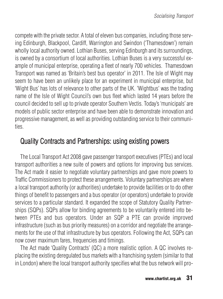compete with the private sector. A total of eleven bus companies, including those serving Edinburgh, Blackpool, Cardiff, Warrington and Swindon ('Thamesdown') remain wholly local authority owned. Lothian Buses, serving Edinburgh and its surroundings, is owned by a consortium of local authorities. Lothian Buses is a very successful example of municipal enterprise, operating a fleet of nearly 700 vehicles. Thamesdown Transport was named as 'Britain's best bus operator' in 2011. The Isle of Wight may seem to have been an unlikely place for an experiment in municipal enterprise, but 'Wight Bus' has lots of relevance to other parts of the UK. 'Wightbus' was the trading name of the Isle of Wight Council's own bus fleet which lasted 14 years before the council decided to sell up to private operator Southern Vectis. Today's 'municipals' are models of public sector enterprise and have been able to demonstrate innovation and progressive management, as well as providing outstanding service to their communities.

## Quality Contracts and Partnerships: using existing powers

The Local Transport Act 2008 gave passenger transport executives (PTEs) and local transport authorities a new suite of powers and options for improving bus services. The Act made it easier to negotiate voluntary partnerships and gave more powers to Traffic Commissioners to protect these arrangements. Voluntary partnerships are where a local transport authority (or authorities) undertake to provide facilities or to do other things of benefit to passengers and a bus operator (or operators) undertake to provide services to a particular standard. It expanded the scope of Statutory Quality Partnerships (SQPs). SQPs allow for binding agreements to be voluntarily entered into between PTEs and bus operators. Under an SQP a PTE can provide improved infrastructure (such as bus priority measures) on a corridor and negotiate the arrangements for the use of that infrastructure by bus operators. Following the Act, SQPs can now cover maximum fares, frequencies and timings.

The Act made 'Quality Contracts' (QC) a more realistic option. A QC involves replacing the existing deregulated bus markets with a franchising system (similar to that in London) where the local transport authority specifies what the bus network will pro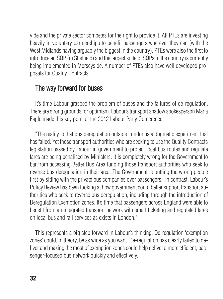vide and the private sector competes for the right to provide it. All PTEs are investing heavily in voluntary partnerships to benefit passengers wherever they can (with the West Midlands having arguably the biggest in the country). PTEs were also the first to introduce an SQP (in Sheffield) and the largest suite of SQPs in the country is currently being implemented in Merseyside. A number of PTEs also have well developed proposals for Quality Contracts.

#### The way forward for buses

It's time Labour grasped the problem of buses and the failures of de-regulation. There are strong grounds for optimism. Labour's transport shadow spokesperson Maria Eagle made this key point at the 2012 Labour Party Conference:

"The reality is that bus deregulation outside London is a dogmatic experiment that has failed. Yet those transport authorities who are seeking to use the Quality Contracts legislation passed by Labour in government to protect local bus routes and regulate fares are being penalised by Ministers. It is completely wrong for the Government to bar from accessing Better Bus Area funding those transport authorities who seek to reverse bus deregulation in their area. The Government is putting the wrong people first by siding with the private bus companies over passengers. In contrast, Labour's Policy Review has been looking at how government could better support transport authorities who seek to reverse bus deregulation, including through the introduction of Deregulation Exemption zones. It's time that passengers across England were able to benefit from an integrated transport network with smart ticketing and regulated fares on local bus and rail services as exists in London."

This represents a big step forward in Labour's thinking. De-regulation 'exemption zones' could, in theory, be as wide as you want. De-regulation has clearly failed to deliver and making the most of exemption zones could help deliver a more efficient, passenger-focused bus network quickly and effectively.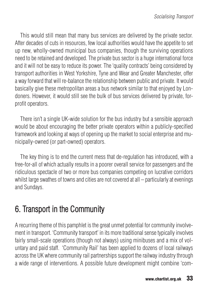This would still mean that many bus services are delivered by the private sector. After decades of cuts in resources, few local authorities would have the appetite to set up new, wholly-owned municipal bus companies, though the surviving operations need to be retained and developed. The private bus sector is a huge international force and it will not be easy to reduce its power. The 'quality contracts' being considered by transport authorities in West Yorkshire, Tyne and Wear and Greater Manchester, offer a way forward that will re-balance the relationship between public and private. It would basically give these metropolitan areas a bus network similar to that enjoyed by Londoners. However, it would still see the bulk of bus services delivered by private, forprofit operators.

There isn't a single UK-wide solution for the bus industry but a sensible approach would be about encouraging the better private operators within a publicly-specified framework and looking at ways of opening up the market to social enterprise and municipally-owned (or part-owned) operators.

The key thing is to end the current mess that de-regulation has introduced, with a free-for-all of which actually results in a poorer overall service for passengers and the ridiculous spectacle of two or more bus companies competing on lucrative corridors whilst large swathes of towns and cities are not covered at all – particularly at evenings and Sundays.

# 6. Transport in the Community

A recurring theme of this pamphlet is the great unmet potential for community involvement in transport. 'Community transport' in its more traditional sense typically involves fairly small-scale operations (though not always) using minibuses and a mix of voluntary and paid staff. 'Community Rail' has been applied to dozens of local railways across the UK where community rail partnerships support the railway industry through a wide range of interventions. A possible future development might combine 'com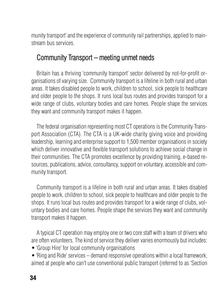munity transport' and the experience of community rail partnerships, applied to mainstream bus services.

#### Community Transport – meeting unmet needs

Britain has a thriving 'community transport' sector delivered by not-for-profit organisations of varying size. Community transport is a lifeline in both rural and urban areas. It takes disabled people to work, children to school, sick people to healthcare and older people to the shops. It runs local bus routes and provides transport for a wide range of clubs, voluntary bodies and care homes. People shape the services they want and community transport makes it happen.

The federal organisation representing most CT operations is the Community Transport Association (CTA). The CTA is a UK-wide charity giving voice and providing leadership, learning and enterprise support to 1,500 member organisations in society which deliver innovative and flexible transport solutions to achieve social change in their communities. The CTA promotes excellence by providing training, e-based resources, publications, advice, consultancy, support on voluntary, accessible and community transport.

Community transport is a lifeline in both rural and urban areas. It takes disabled people to work, children to school, sick people to healthcare and older people to the shops. It runs local bus routes and provides transport for a wide range of clubs, voluntary bodies and care homes. People shape the services they want and community transport makes it happen.

A typical CT operation may employ one or two core staff with a team of drivers who are often volunteers. The kind of service they deliver varies enormously but includes:

- 'Group Hire' for local community organisations
- 'Ring and Ride' services demand responsive operations within a local framework, aimed at people who can't use conventional public transport (referred to as 'Section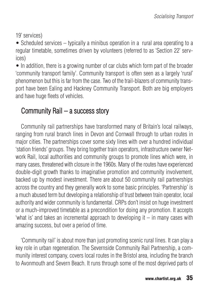19' services)

• Scheduled services – typically a minibus operation in a rural area operating to a regular timetable, sometimes driven by volunteers (referred to as 'Section 22' services)

• In addition, there is a growing number of car clubs which form part of the broader 'community transport family'. Community transport is often seen as a largely 'rural' phenomenon but this is far from the case. Two of the trail-blazers of community transport have been Ealing and Hackney Community Transport. Both are big employers and have huge fleets of vehicles.

# Community Rail – a success story

Community rail partnerships have transformed many of Britain's local railways, ranging from rural branch lines in Devon and Cornwall through to urban routes in major cities. The partnerships cover some sixty lines with over a hundred individual 'station friends' groups. They bring together train operators, infrastructure owner Network Rail, local authorities and community groups to promote lines which were, in many cases, threatened with closure in the 1960s. Many of the routes have experienced double-digit growth thanks to imaginative promotion and community involvement, backed up by modest investment. There are about 50 community rail partnerships across the country and they generally work to some basic principles. 'Partnership' is a much abused term but developing a relationship of trust between train operator, local authority and wider community is fundamental. CRPs don't insist on huge investment or a much-improved timetable as a precondition for doing any promotion. It accepts 'what is' and takes an incremental approach to developing it – in many cases with amazing success, but over a period of time.

'Community rail' is about more than just promoting scenic rural lines. It can play a key role in urban regeneration. The Severnside Community Rail Partnership, a community interest company, covers local routes in the Bristol area, including the branch to Avonmouth and Severn Beach. It runs through some of the most deprived parts of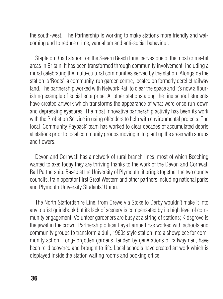the south-west. The Partnership is working to make stations more friendly and welcoming and to reduce crime, vandalism and anti-social behaviour.

Stapleton Road station, on the Severn Beach Line, serves one of the most crime-hit areas in Britain. It has been transformed through community involvement, including a mural celebrating the multi-cultural communities served by the station. Alongside the station is 'Roots', a community-run garden centre, located on formerly derelict railway land. The partnership worked with Network Rail to clear the space and it's now a flourishing example of social enterprise. At other stations along the line school students have created artwork which transforms the appearance of what were once run-down and depressing eyesores. The most innovative partnership activity has been its work with the Probation Service in using offenders to help with environmental projects. The local 'Community Payback' team has worked to clear decades of accumulated debris at stations prior to local community groups moving in to plant up the areas with shrubs and flowers.

Devon and Cornwall has a network of rural branch lines, most of which Beeching wanted to axe; today they are thriving thanks to the work of the Devon and Cornwall Rail Partnership. Based at the University of Plymouth, it brings together the two county councils, train operator First Great Western and other partners including national parks and Plymouth University Students' Union.

The North Staffordshire Line, from Crewe via Stoke to Derby wouldn't make it into any tourist guidebook but its lack of scenery is compensated by its high level of community engagement. Volunteer gardeners are busy at a string of stations; Kidsgrove is the jewel in the crown. Partnership officer Faye Lambert has worked with schools and community groups to transform a dull, 1960s style station into a showpiece for community action. Long-forgotten gardens, tended by generations of railwaymen, have been re-discovered and brought to life. Local schools have created art work which is displayed inside the station waiting rooms and booking office.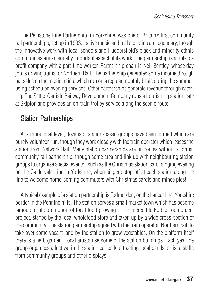The Penistone Line Partnership, in Yorkshire, was one of Britain's first community rail partnerships, set up in 1993. Its live music and real ale trains are legendary, though the innovative work with local schools and Huddersfield's black and minority ethnic communities are an equally important aspect of its work. The partnership is a not-forprofit company with a part-time worker. Partnership chair is Neil Bentley, whose day job is driving trains for Northern Rail. The partnership generates some income through bar sales on the music trains, which run on a regular monthly basis during the summer, using scheduled evening services. Other partnerships generate revenue through catering: The Settle-Carlisle Railway Development Company runs a flourishing station café at Skipton and provides an on-train trolley service along the scenic route.

# Station Partnerships

At a more local level, dozens of station-based groups have been formed which are purely volunteer-run, though they work closely with the train operator which leases the station from Network Rail. Many station partnerships are on routes without a formal community rail partnership, though some area and link up with neighbouring station groups to organise special events , such as the Christmas station carol singing evening on the Caldervale Line in Yorkshire, when singers stop off at each station along the line to welcome home-coming commuters with Christmas carols and mince pies!

A typical example of a station partnership is Todmorden, on the Lancashire-Yorkshire border in the Pennine hills. The station serves a small market town which has become famous for its promotion of local food growing – the 'Incredible Edible Todmorden' project, started by the local wholefood store and taken up by a wide cross-section of the community. The station partnership agreed with the train operator, Northern rail, to take over some vacant land by the station to grow vegetables. On the platform itself there is a herb garden. Local artists use some of the station buildings. Each year the group organises a festival in the station car park, attracting local bands, artists, stalls from community groups and other displays.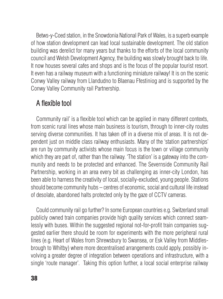Betws-y-Coed station, in the Snowdonia National Park of Wales, is a superb example of how station development can lead local sustainable development. The old station building was derelict for many years but thanks to the efforts of the local community council and Welsh Development Agency, the building was slowly brought back to life. It now houses several cafes and shops and is the focus of the popular tourist resort. It even has a railway museum with a functioning miniature railway! It is on the scenic Conwy Valley railway from Llandudno to Blaenau Ffestiniog and is supported by the Conwy Valley Community rail Partnership.

## A flexible tool

Community rail' is a flexible tool which can be applied in many different contexts, from scenic rural lines whose main business is tourism, through to inner-city routes serving diverse communities. It has taken off in a diverse mix of areas. It is not dependent just on middle class railway enthusiasts. Many of the 'station partnerships' are run by community activists whose main focus is the town or village community which they are part of, rather than the railway. 'The station' is a gateway into the community and needs to be protected and enhanced. The Severnside Community Rail Partnership, working in an area every bit as challenging as inner-city London, has been able to harness the creativity of local, socially-excluded, young people. Stations should become community hubs – centres of economic, social and cultural life instead of desolate, abandoned halts protected only by the gaze of CCTV cameras.

Could community rail go further? In some European countries e.g. Switzerland small publicly owned train companies provide high quality services which connect seamlessly with buses. Within the suggested regional not-for-profit train companies suggested earlier there should be room for experiments with the more peripheral rural lines (e.g. Heart of Wales from Shrewsbury to Swansea, or Esk Valley from Middlesbrough to Whitby) where more decentralised arrangements could apply, possibly involving a greater degree of integration between operations and infrastructure, with a single 'route manager'. Taking this option further, a local social enterprise railway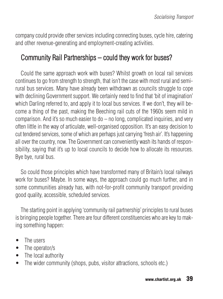company could provide other services including connecting buses, cycle hire, catering and other revenue-generating and employment-creating activities.

# Community Rail Partnerships – could they work for buses?

Could the same approach work with buses? Whilst growth on local rail services continues to go from strength to strength, that isn't the case with most rural and semirural bus services. Many have already been withdrawn as councils struggle to cope with declining Government support. We certainly need to find that 'bit of imagination' which Darling referred to, and apply it to local bus services. If we don't, they will become a thing of the past, making the Beeching rail cuts of the 1960s seem mild in comparison. And it's so much easier to  $do - no long$ , complicated inquiries, and very often little in the way of articulate, well-organised opposition. It's an easy decision to cut tendered services, some of which are perhaps just carrying 'fresh air'. It's happening all over the country, now. The Government can conveniently wash its hands of responsibility, saying that it's up to local councils to decide how to allocate its resources. Bye bye, rural bus.

So could those principles which have transformed many of Britain's local railways work for buses? Maybe. In some ways, the approach could go much further, and in some communities already has, with not-for-profit community transport providing good quality, accessible, scheduled services.

The starting point in applying 'community rail partnership' principles to rural buses is bringing people together. There are four different constituencies who are key to making something happen:

- The users
- The operator/s
- The local authority
- The wider community (shops, pubs, visitor attractions, schools etc.)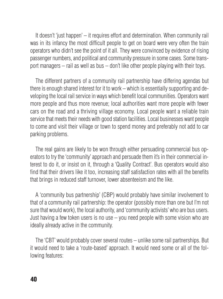It doesn't 'just happen' – it requires effort and determination. When community rail was in its infancy the most difficult people to get on board were very often the train operators who didn't see the point of it all. They were convinced by evidence of rising passenger numbers, and political and community pressure in some cases. Some transport managers – rail as well as bus – don't like other people playing with their toys.

The different partners of a community rail partnership have differing agendas but there is enough shared interest for it to work – which is essentially supporting and developing the local rail service in ways which benefit local communities. Operators want more people and thus more revenue; local authorities want more people with fewer cars on the road and a thriving village economy. Local people want a reliable train service that meets their needs with good station facilities. Local businesses want people to come and visit their village or town to spend money and preferably not add to car parking problems.

The real gains are likely to be won through either persuading commercial bus operators to try the 'community' approach and persuade them it's in their commercial interest to do it, or insist on it, through a 'Quality Contract'. Bus operators would also find that their drivers like it too, increasing staff satisfaction rates with all the benefits that brings in reduced staff turnover, lower absenteeism and the like.

A 'community bus partnership' (CBP) would probably have similar involvement to that of a community rail partnership: the operator (possibly more than one but I'm not sure that would work), the local authority, and 'community activists' who are bus users. Just having a few token users is no use – you need people with some vision who are ideally already active in the community.

The 'CBT' would probably cover several routes – unlike some rail partnerships. But it would need to take a 'route-based' approach. It would need some or all of the following features: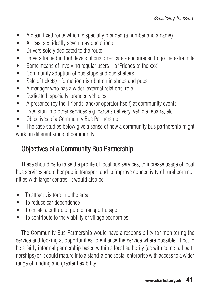- A clear, fixed route which is specially branded (a number and a name)
- At least six, ideally seven, day operations
- Drivers solely dedicated to the route
- Drivers trained in high levels of customer care encouraged to go the extra mile
- Some means of involving regular users a 'Friends of the xxx'
- Community adoption of bus stops and bus shelters
- Sale of tickets/information distribution in shops and pubs
- A manager who has a wider 'external relations' role
- Dedicated, specially-branded vehicles
- A presence (by the 'Friends' and/or operator itself) at community events
- Extension into other services e.g. parcels delivery, vehicle repairs, etc.
- Objectives of a Community Bus Partnership
- The case studies below give a sense of how a community bus partnership might work, in different kinds of community.

# Objectives of a Community Bus Partnership

These should be to raise the profile of local bus services, to increase usage of local bus services and other public transport and to improve connectivity of rural communities with larger centres. It would also be

- To attract visitors into the area
- To reduce car dependence
- To create a culture of public transport usage
- To contribute to the viability of village economies

The Community Bus Partnership would have a responsibility for monitoring the service and looking at opportunities to enhance the service where possible. It could be a fairly informal partnership based within a local authority (as with some rail partnerships) or it could mature into a stand-alone social enterprise with access to a wider range of funding and greater flexibility.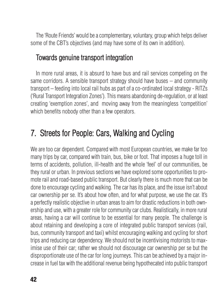The 'Route Friends' would be a complementary, voluntary, group which helps deliver some of the CBT's objectives (and may have some of its own in addition).

#### Towards genuine transport integration

In more rural areas, it is absurd to have bus and rail services competing on the same corridors. A sensible transport strategy should have buses – and community transport – feeding into local rail hubs as part of a co-ordinated local strategy - RITZs ('Rural Transport Integration Zones'). This means abandoning de-regulation, or at least creating 'exemption zones', and moving away from the meaningless 'competition' which benefits nobody other than a few operators.

# 7. Streets for People: Cars, Walking and Cycling

We are too car dependent. Compared with most European countries, we make far too many trips by car, compared with train, bus, bike or foot. That imposes a huge toll in terms of accidents, pollution, ill-health and the whole 'feel' of our communities, be they rural or urban. In previous sections we have explored some opportunities to promote rail and road-based public transport. But clearly there is much more that can be done to encourage cycling and walking. The car has its place, and the issue isn't about car ownership per se. It's about how often, and for what purpose, we use the car. It's a perfectly realistic objective in urban areas to aim for drastic reductions in both ownership and use, with a greater role for community car clubs. Realistically, in more rural areas, having a car will continue to be essential for many people. The challenge is about retaining and developing a core of integrated public transport services (rail, bus, community transport and taxi) whilst encouraging walking and cycling for short trips and reducing car dependency. We should not be incentivising motorists to maximise use of their car; rather we should not discourage car ownership per se but the disproportionate use of the car for long journeys. This can be achieved by a major increase in fuel tax with the additional revenue being hypothecated into public transport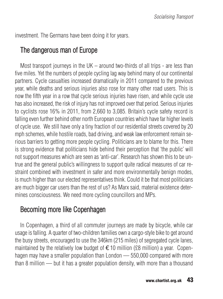investment. The Germans have been doing it for years.

## The dangerous man of Europe

Most transport journeys in the UK – around two-thirds of all trips - are less than five miles. Yet the numbers of people cycling lag way behind many of our continental partners. Cycle casualties increased dramatically in 2011 compared to the previous year, while deaths and serious injuries also rose for many other road users. This is now the fifth year in a row that cycle serious injuries have risen, and while cycle use has also increased, the risk of injury has not improved over that period. Serious injuries to cyclists rose 16% in 2011, from 2,660 to 3,085. Britain's cycle safety record is falling even further behind other north European countries which have far higher levels of cycle use. We still have only a tiny fraction of our residential streets covered by 20 mph schemes, while hostile roads, bad driving, and weak law enforcement remain serious barriers to getting more people cycling. Politicians are to blame for this. There is strong evidence that politicians hide behind their perception that 'the public' will not support measures which are seen as 'anti-car'. Research has shown this to be untrue and the general public's willingness to support quite radical measures of car restraint combined with investment in safer and more environmentally benign modes, is much higher than our elected representatives think. Could it be that most politicians are much bigger car users than the rest of us? As Marx said, material existence determines consciousness. We need more cycling councillors and MPs.

# Becoming more like Copenhagen

In Copenhagen, a third of all commuter journeys are made by bicycle, while car usage is falling. A quarter of two-children families own a cargo-style bike to get around the busy streets, encouraged to use the 346km (215 miles) of segregated cycle lanes, maintained by the relatively low budget of  $\in$ 10 million (£8 million) a year. Copenhagen may have a smaller population than London — 550,000 compared with more than 8 million — but it has a greater population density, with more than a thousand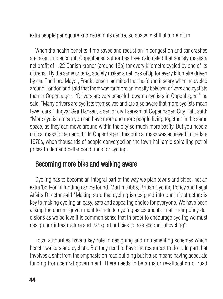extra people per square kilometre in its centre, so space is still at a premium.

When the health benefits, time saved and reduction in congestion and car crashes are taken into account, Copenhagen authorities have calculated that society makes a net profit of 1.22 Danish kroner (around 13p) for every kilometre cycled by one of its citizens. By the same criteria, society makes a net loss of 8p for every kilometre driven by car. The Lord Mayor, Frank Jensen, admitted that he found it scary when he cycled around London and said that there was far more animosity between drivers and cyclists than in Copenhagen. "Drivers are very peaceful towards cyclists in Copenhagen," he said, "Many drivers are cyclists themselves and are also aware that more cyclists mean fewer cars." Ingvar Sejr Hansen, a senior civil servant at Copenhagen City Hall, said: "More cyclists mean you can have more and more people living together in the same space, as they can move around within the city so much more easily. But you need a critical mass to demand it." In Copenhagen, this critical mass was achieved in the late 1970s, when thousands of people converged on the town hall amid spiralling petrol prices to demand better conditions for cycling.

## Becoming more bike and walking aware

Cycling has to become an integral part of the way we plan towns and cities, not an extra 'bolt-on' if funding can be found. Martin Gibbs, British Cycling Policy and Legal Affairs Director said "Making sure that cycling is designed into our infrastructure is key to making cycling an easy, safe and appealing choice for everyone. We have been asking the current government to include cycling assessments in all their policy decisions as we believe it is common sense that in order to encourage cycling we must design our infrastructure and transport policies to take account of cycling".

Local authorities have a key role in designing and implementing schemes which benefit walkers and cyclists. But they need to have the resources to do it. In part that involves a shift from the emphasis on road building but it also means having adequate funding from central government. There needs to be a major re-allocation of road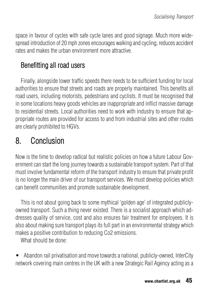space in favour of cycles with safe cycle lanes and good signage. Much more widespread introduction of 20 mph zones encourages walking and cycling, reduces accident rates and makes the urban environment more attractive.

# Benefitting all road users

Finally, alongside lower traffic speeds there needs to be sufficient funding for local authorities to ensure that streets and roads are properly maintained. This benefits all road users, including motorists, pedestrians and cyclists. It must be recognised that in some locations heavy goods vehicles are inappropriate and inflict massive damage to residential streets. Local authorities need to work with industry to ensure that appropriate routes are provided for access to and from industrial sites and other routes are clearly prohibited to HGVs.

# 8. Conclusion

Now is the time to develop radical but realistic policies on how a future Labour Government can start the long journey towards a sustainable transport system. Part of that must involve fundamental reform of the transport industry to ensure that private profit is no longer the main driver of our transport services. We must develop policies which can benefit communities and promote sustainable development.

This is not about going back to some mythical 'golden age' of integrated publiclyowned transport. Such a thing never existed. There is a socialist approach which addresses quality of service, cost and also ensures fair treatment for employees. It is also about making sure transport plays its full part in an environmental strategy which makes a positive contribution to reducing Co2 emissions.

What should be done:

• Abandon rail privatisation and move towards a national, publicly-owned, InterCity network covering main centres in the UK with a new Strategic Rail Agency acting as a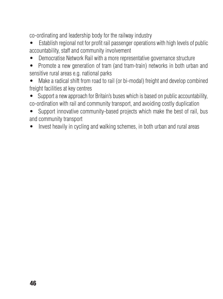co-ordinating and leadership body for the railway industry

• Establish regional not for profit rail passenger operations with high levels of public accountability, staff and community involvement

• Democratise Network Rail with a more representative governance structure

• Promote a new generation of tram (and tram-train) networks in both urban and sensitive rural areas e.g. national parks

Make a radical shift from road to rail (or bi-modal) freight and develop combined freight facilities at key centres

• Support a new approach for Britain's buses which is based on public accountability, co-ordination with rail and community transport, and avoiding costly duplication

• Support innovative community-based projects which make the best of rail, bus and community transport

• Invest heavily in cycling and walking schemes, in both urban and rural areas